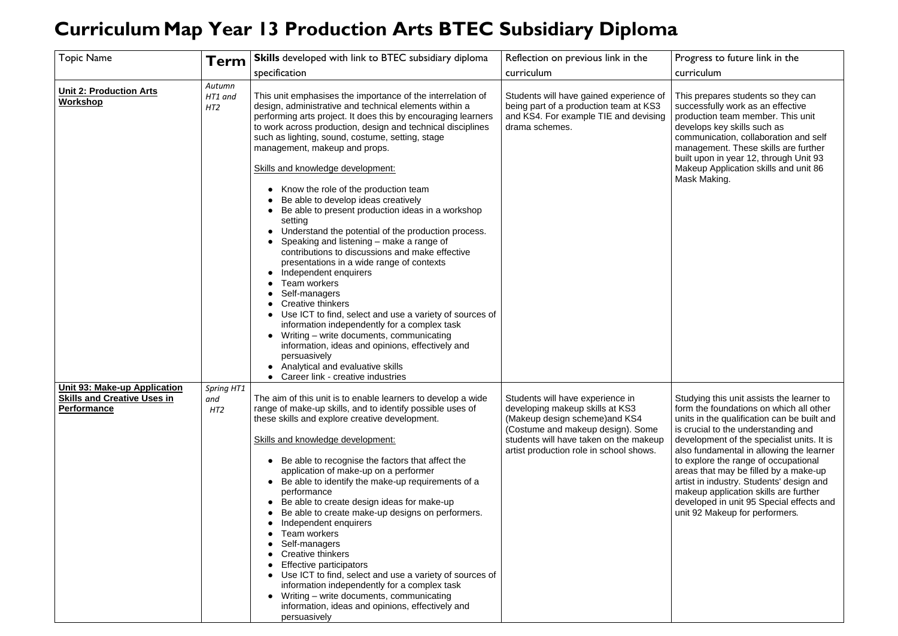## **CurriculumMap Year 13 Production Arts BTEC Subsidiary Diploma**

## Progress to future link in the curriculum

| <b>Topic Name</b>                                                                               | Term                     | <b>Skills</b> developed with link to BTEC subsidiary diploma<br>specification                                                                                                                                                                                                                                                                                                                                                                                                                                                                                                                                                                                                                                                                                                                                                          | Reflection on previous link in the<br>curriculum                                                                                                                                                                                |
|-------------------------------------------------------------------------------------------------|--------------------------|----------------------------------------------------------------------------------------------------------------------------------------------------------------------------------------------------------------------------------------------------------------------------------------------------------------------------------------------------------------------------------------------------------------------------------------------------------------------------------------------------------------------------------------------------------------------------------------------------------------------------------------------------------------------------------------------------------------------------------------------------------------------------------------------------------------------------------------|---------------------------------------------------------------------------------------------------------------------------------------------------------------------------------------------------------------------------------|
| <b>Unit 2: Production Arts</b><br><b>Workshop</b>                                               | Autumn<br>HT1 and<br>HT2 | This unit emphasises the importance of the interrelation of<br>design, administrative and technical elements within a<br>performing arts project. It does this by encouraging learners<br>to work across production, design and technical disciplines<br>such as lighting, sound, costume, setting, stage<br>management, makeup and props.                                                                                                                                                                                                                                                                                                                                                                                                                                                                                             | Students will have gained experience of<br>being part of a production team at KS3<br>and KS4. For example TIE and devising<br>drama schemes.                                                                                    |
|                                                                                                 |                          | <b>Skills and knowledge development:</b><br>Know the role of the production team<br>Be able to develop ideas creatively<br>Be able to present production ideas in a workshop<br>setting<br>Understand the potential of the production process.<br>Speaking and listening – make a range of<br>contributions to discussions and make effective<br>presentations in a wide range of contexts<br>Independent enquirers<br>Team workers<br>Self-managers<br><b>Creative thinkers</b><br>Use ICT to find, select and use a variety of sources of<br>information independently for a complex task<br>Writing - write documents, communicating<br>information, ideas and opinions, effectively and<br>persuasively<br>Analytical and evaluative skills<br>Career link - creative industries                                                   |                                                                                                                                                                                                                                 |
| <b>Unit 93: Make-up Application</b><br><b>Skills and Creative Uses in</b><br><b>Performance</b> | Spring HT1<br>and<br>HT2 | The aim of this unit is to enable learners to develop a wide<br>range of make-up skills, and to identify possible uses of<br>these skills and explore creative development.<br>Skills and knowledge development:<br>Be able to recognise the factors that affect the<br>application of make-up on a performer<br>Be able to identify the make-up requirements of a<br>performance<br>Be able to create design ideas for make-up<br>Be able to create make-up designs on performers.<br>Independent enquirers<br>Team workers<br>Self-managers<br><b>Creative thinkers</b><br><b>Effective participators</b><br>Use ICT to find, select and use a variety of sources of<br>information independently for a complex task<br>Writing – write documents, communicating<br>information, ideas and opinions, effectively and<br>persuasively | Students will have experience in<br>developing makeup skills at KS3<br>(Makeup design scheme) and KS4<br>(Costume and makeup design). Some<br>students will have taken on the makeup<br>artist production role in school shows. |

This prepares students so they can successfully work as an effective production team member. This unit develops key skills such as communication, collaboration and self management. These skills are further built upon in year 12, through Unit 93 Makeup Application skills and unit 86 Mask Making.

Studying this unit assists the learner to form the foundations on which all other units in the qualification can be built and is crucial to the understanding and development of the specialist units. It is also fundamental in allowing the learner to explore the range of occupational areas that may be filled by a make-up artist in industry. Students' design and makeup application skills are further developed in unit 95 Special effects and unit 92 Makeup for performers*.*